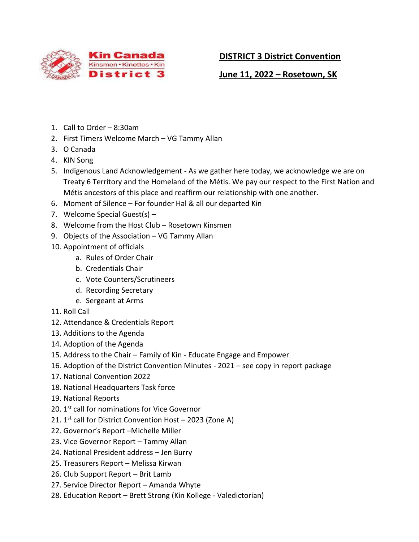

 **June 11, 2022 – Rosetown, SK**

- 1. Call to Order 8:30am
- 2. First Timers Welcome March VG Tammy Allan
- 3. O Canada
- 4. KIN Song
- 5. Indigenous Land Acknowledgement As we gather here today, we acknowledge we are on Treaty 6 Territory and the Homeland of the Métis. We pay our respect to the First Nation and Métis ancestors of this place and reaffirm our relationship with one another.
- 6. Moment of Silence For founder Hal & all our departed Kin
- 7. Welcome Special Guest(s) –
- 8. Welcome from the Host Club Rosetown Kinsmen
- 9. Objects of the Association VG Tammy Allan
- 10. Appointment of officials
	- a. Rules of Order Chair
	- b. Credentials Chair
	- c. Vote Counters/Scrutineers
	- d. Recording Secretary
	- e. Sergeant at Arms
- 11. Roll Call
- 12. Attendance & Credentials Report
- 13. Additions to the Agenda
- 14. Adoption of the Agenda
- 15. Address to the Chair Family of Kin Educate Engage and Empower
- 16. Adoption of the District Convention Minutes 2021 see copy in report package
- 17. National Convention 2022
- 18. National Headquarters Task force
- 19. National Reports
- 20. 1<sup>st</sup> call for nominations for Vice Governor
- 21. 1<sup>st</sup> call for District Convention Host 2023 (Zone A)
- 22. Governor's Report –Michelle Miller
- 23. Vice Governor Report Tammy Allan
- 24. National President address Jen Burry
- 25. Treasurers Report Melissa Kirwan
- 26. Club Support Report Brit Lamb
- 27. Service Director Report Amanda Whyte
- 28. Education Report Brett Strong (Kin Kollege Valedictorian)